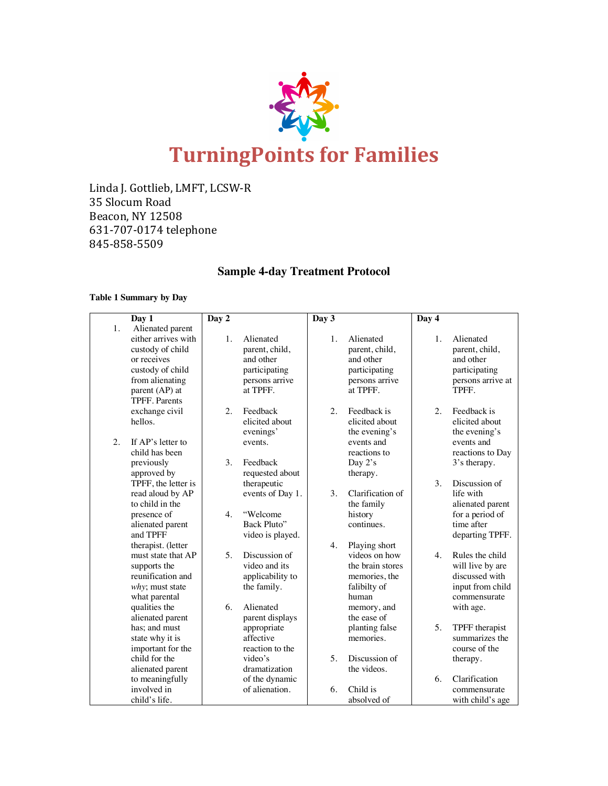

Linda J. Gottlieb, LMFT, LCSW-R 35 Slocum Road Beacon, NY 12508 631-707-0174 telephone 845-858-5509

# **Sample 4-day Treatment Protocol**

# **Table 1 Summary by Day**

|    | Day 1                          | Day 2 |                  | Day 3            |                       | Day 4 |                           |
|----|--------------------------------|-------|------------------|------------------|-----------------------|-------|---------------------------|
| 1. | Alienated parent               |       |                  |                  |                       |       |                           |
|    | either arrives with            | 1.    | Alienated        | $\mathbf{1}$ .   | Alienated             | 1.    | Alienated                 |
|    | custody of child               |       | parent, child,   |                  | parent, child,        |       | parent, child,            |
|    | or receives                    |       | and other        |                  | and other             |       | and other                 |
|    | custody of child               |       | participating    |                  | participating         |       | participating             |
|    | from alienating                |       | persons arrive   |                  | persons arrive        |       | persons arrive at         |
|    | parent (AP) at                 |       | at TPFF.         |                  | at TPFF.              |       | TPFF.                     |
|    | <b>TPFF.</b> Parents           |       |                  |                  |                       |       |                           |
|    | exchange civil                 | 2.    | Feedback         | $\overline{2}$ . | Feedback is           | 2.    | Feedback is               |
|    | hellos.                        |       | elicited about   |                  | elicited about        |       | elicited about            |
|    |                                |       | evenings'        |                  | the evening's         |       | the evening's             |
| 2. | If AP's letter to              |       | events.          |                  | events and            |       | events and                |
|    | child has been                 |       |                  |                  | reactions to          |       | reactions to Day          |
|    | previously                     | 3.    | Feedback         |                  | Day 2's               |       | 3's therapy.              |
|    | approved by                    |       | requested about  |                  | therapy.              |       |                           |
|    | TPFF, the letter is            |       | therapeutic      |                  |                       | 3.    | Discussion of             |
|    | read aloud by AP               |       | events of Day 1. | 3.               | Clarification of      |       | life with                 |
|    | to child in the                |       |                  |                  | the family            |       | alienated parent          |
|    | presence of                    | 4.    | "Welcome         |                  | history               |       | for a period of           |
|    | alienated parent               |       | Back Pluto"      |                  | continues.            |       | time after                |
|    | and TPFF                       |       | video is played. |                  |                       |       | departing TPFF.           |
|    | therapist. (letter             |       |                  | 4.               | Playing short         |       |                           |
|    | must state that AP             | 5.    | Discussion of    |                  | videos on how         | 4.    | Rules the child           |
|    | supports the                   |       | video and its    |                  | the brain stores      |       | will live by are          |
|    | reunification and              |       | applicability to |                  | memories, the         |       | discussed with            |
|    | why; must state                |       | the family.      |                  | falibilty of<br>human |       | input from child          |
|    | what parental<br>qualities the | 6.    | Alienated        |                  | memory, and           |       | commensurate<br>with age. |
|    | alienated parent               |       | parent displays  |                  | the ease of           |       |                           |
|    | has; and must                  |       | appropriate      |                  | planting false        | 5.    | TPFF therapist            |
|    | state why it is                |       | affective        |                  | memories.             |       | summarizes the            |
|    | important for the              |       | reaction to the  |                  |                       |       | course of the             |
|    | child for the                  |       | video's          | 5.               | Discussion of         |       | therapy.                  |
|    | alienated parent               |       | dramatization    |                  | the videos.           |       |                           |
|    | to meaningfully                |       | of the dynamic   |                  |                       | 6.    | Clarification             |
|    | involved in                    |       | of alienation.   | 6.               | Child is              |       | commensurate              |
|    | child's life.                  |       |                  |                  | absolved of           |       | with child's age          |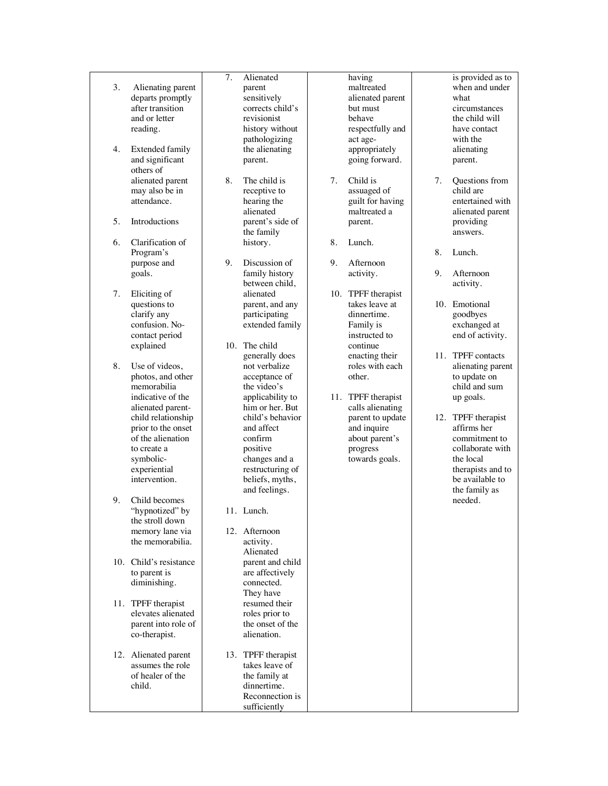- 3. Alienating parent departs promptly after transition and or letter reading.
- 4. Extended family and significant others of alienated parent may also be in attendance.
- 5. Introductions
- 6. Clarification of Program's purpose and goals.
- 7. Eliciting of questions to clarify any confusion. No contact period explained
- 8. Use of videos, photos, and other memorabilia indicative of the alienated parent child relationship prior to the onset of the alienation to create a symbolic experiential intervention .
- 9. Child becomes "hypnotized" by the stroll down memory lane via the memorabilia.
- 10. Child's resistance to parent is diminishing.
- 11. TPFF therapist elevates alienated parent into role of co -therapist.
- 12. Alienated parent assumes the role of healer of the child.
- 7. Alienated parent sensitively corrects child's revisionist history without pathologizing the alienating parent.
- 8. The child is receptive to hearing the alienated parent's side of the family history.
- 9. Discussion of family history between child, alienated parent, and any participating extended family
- 10. The child generally does not verbalize acceptance of the video's applicability to him or her. But child's behavior and affect confirm positive changes and a restructuring of beliefs, myths, and feelings.
- 11. Lunch .
- 12. Afternoon activity. Alienated parent and child are affectively connected. They have resumed their roles prior to the onset of the alienation.
- 13. TPFF therapist takes leave of the family at dinnertime. Reconnection is sufficiently
- having maltreated alienated parent but must behave respectfully and act age appropriately going forward.
- 7. Child is assuaged of guilt for having maltreated a parent.
- 8. Lunch.
- 9. Afternoon activity.
- 10. TPFF therapist takes leave at dinnertime. Family is instructed to continue enacting their roles with each other.
- 11. TPFF therapist calls alienating parent to update and inquire about parent's progress towards goals.
- is provided as to when and under what circumstances the child will have contact with the alienating parent.
- 7. Questions from child are entertained with alienated parent providing answers.
- 8. Lunch.
- 9. Afternoon activity.
- 10. Emotional goodbyes exchanged at end of activity.
- 11. TPFF contacts alienating parent to update on child and sum up goals.
- 12. TPFF therapist affirms her commitment to collaborate with the local therapists and to be available to the family as needed.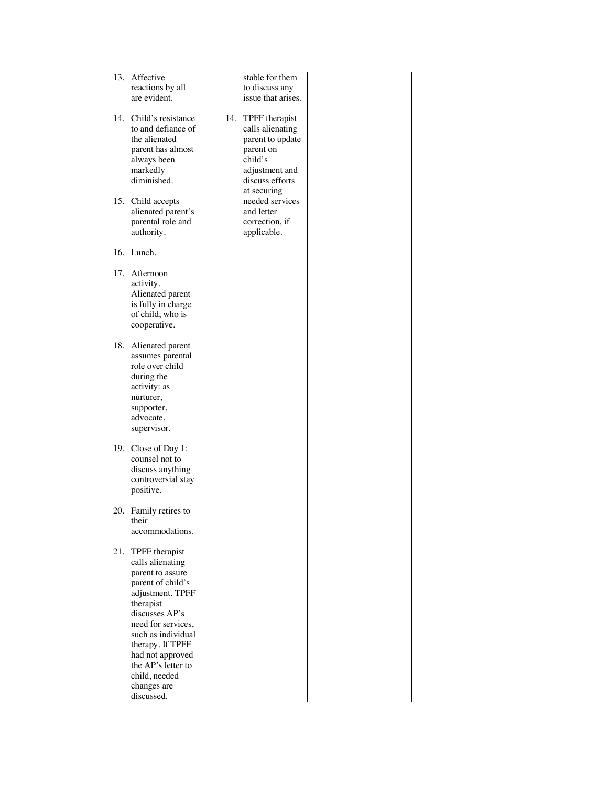| 13. Affective          | stable for them    |  |
|------------------------|--------------------|--|
| reactions by all       | to discuss any     |  |
| are evident.           | issue that arises. |  |
|                        |                    |  |
|                        |                    |  |
| 14. Child's resistance | 14. TPFF therapist |  |
| to and defiance of     | calls alienating   |  |
| the alienated          | parent to update   |  |
| parent has almost      | parent on          |  |
| always been            | child's            |  |
|                        |                    |  |
| markedly               | adjustment and     |  |
| diminished.            | discuss efforts    |  |
|                        | at securing        |  |
| 15. Child accepts      | needed services    |  |
| alienated parent's     | and letter         |  |
| parental role and      | correction, if     |  |
| authority.             | applicable.        |  |
|                        |                    |  |
|                        |                    |  |
| 16. Lunch.             |                    |  |
|                        |                    |  |
| 17. Afternoon          |                    |  |
| activity.              |                    |  |
| Alienated parent       |                    |  |
| is fully in charge     |                    |  |
| of child, who is       |                    |  |
|                        |                    |  |
| cooperative.           |                    |  |
|                        |                    |  |
| 18. Alienated parent   |                    |  |
| assumes parental       |                    |  |
| role over child        |                    |  |
| during the             |                    |  |
| activity: as           |                    |  |
| nurturer,              |                    |  |
|                        |                    |  |
| supporter,             |                    |  |
| advocate,              |                    |  |
| supervisor.            |                    |  |
|                        |                    |  |
| 19. Close of Day 1:    |                    |  |
| counsel not to         |                    |  |
| discuss anything       |                    |  |
| controversial stay     |                    |  |
|                        |                    |  |
| positive.              |                    |  |
|                        |                    |  |
| 20. Family retires to  |                    |  |
| their                  |                    |  |
| accommodations.        |                    |  |
|                        |                    |  |
| 21. TPFF therapist     |                    |  |
| calls alienating       |                    |  |
| parent to assure       |                    |  |
|                        |                    |  |
| parent of child's      |                    |  |
| adjustment. TPFF       |                    |  |
| therapist              |                    |  |
| discusses AP's         |                    |  |
| need for services,     |                    |  |
| such as individual     |                    |  |
| therapy. If TPFF       |                    |  |
|                        |                    |  |
| had not approved       |                    |  |
| the AP's letter to     |                    |  |
| child, needed          |                    |  |
| changes are            |                    |  |
| discussed.             |                    |  |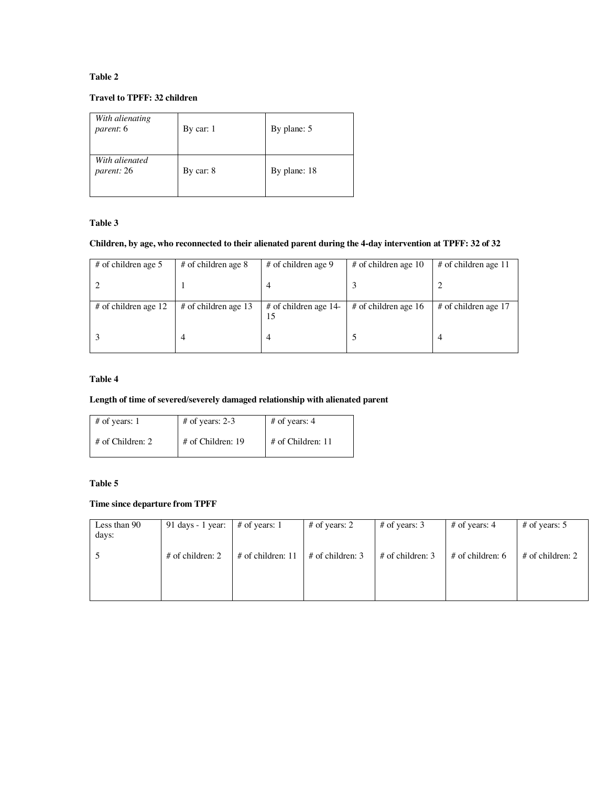### **Table 2**

### **Travel to TPFF: 32 children**

| With alienating<br>parent: 6 | By car: $1$ | By plane: 5  |
|------------------------------|-------------|--------------|
| With alienated<br>parent: 26 | By car: $8$ | By plane: 18 |

### **Table 3**

# **Children, by age, who reconnected to their alienated parent during the 4-day intervention at TPFF: 32 of 32**

| # of children age 5    | $#$ of children age 8  | # of children age 9           | # of children age 10   | $#$ of children age 11 |
|------------------------|------------------------|-------------------------------|------------------------|------------------------|
|                        |                        |                               |                        |                        |
| $#$ of children age 12 | $#$ of children age 13 | $#$ of children age 14-<br>15 | # of children age $16$ | $#$ of children age 17 |
|                        | 4                      |                               |                        |                        |

### **Table 4**

# **Length of time of severed/severely damaged relationship with alienated parent**

| $#$ of years: 1    | # of years: 2-3     | # of years: $4$     |
|--------------------|---------------------|---------------------|
| $#$ of Children: 2 | $#$ of Children: 19 | $#$ of Children: 11 |

# **Table 5**

# **Time since departure from TPFF**

| Less than 90<br>days: | 91 days - 1 year: $\#$ of years: 1 |                     | # of years: $2$    | # of years: $3$    | # of years: $4$    | # of years: $5$    |
|-----------------------|------------------------------------|---------------------|--------------------|--------------------|--------------------|--------------------|
|                       | $#$ of children: 2                 | $#$ of children: 11 | $#$ of children: 3 | $#$ of children: 3 | $#$ of children: 6 | $#$ of children: 2 |
|                       |                                    |                     |                    |                    |                    |                    |